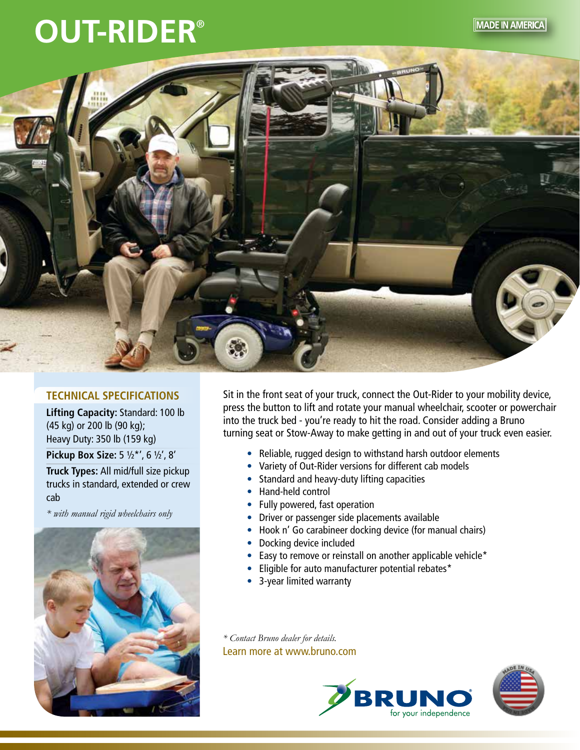## **OUT-RIDER**®





## **TECHNICAL SPECIFICATIONS**

**Lifting Capacity:** Standard: 100 lb (45 kg) or 200 lb (90 kg); Heavy Duty: 350 lb (159 kg)

**Pickup Box Size:** 5 ½\*', 6 ½', 8'

**Truck Types:** All mid/full size pickup trucks in standard, extended or crew cab

*\* with manual rigid wheelchairs only*



Sit in the front seat of your truck, connect the Out-Rider to your mobility device, press the button to lift and rotate your manual wheelchair, scooter or powerchair into the truck bed - you're ready to hit the road. Consider adding a Bruno turning seat or Stow-Away to make getting in and out of your truck even easier.

- Reliable, rugged design to withstand harsh outdoor elements
- Variety of Out-Rider versions for different cab models
- Standard and heavy-duty lifting capacities
- Hand-held control
- Fully powered, fast operation
- Driver or passenger side placements available
- Hook n' Go carabineer docking device (for manual chairs)
- Docking device included
- Easy to remove or reinstall on another applicable vehicle\*
- Eligible for auto manufacturer potential rebates\*
- 3-year limited warranty

*\* Contact Bruno dealer for details.* Learn more at www.bruno.com